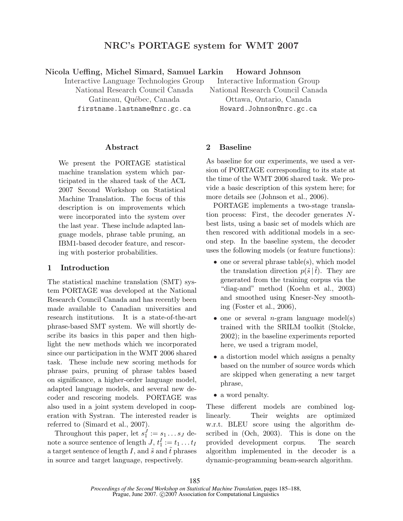# NRC's PORTAGE system for WMT 2007

#### Nicola Ueffing, Michel Simard, Samuel Larkin Howard Johnson

Interactive Language Technologies Group National Research Council Canada Gatineau, Québec, Canada firstname.lastname@nrc.gc.ca

Interactive Information Group National Research Council Canada Ottawa, Ontario, Canada Howard.Johnson@nrc.gc.ca

## Abstract

We present the PORTAGE statistical machine translation system which participated in the shared task of the ACL 2007 Second Workshop on Statistical Machine Translation. The focus of this description is on improvements which were incorporated into the system over the last year. These include adapted language models, phrase table pruning, an IBM1-based decoder feature, and rescoring with posterior probabilities.

## 1 Introduction

The statistical machine translation (SMT) system PORTAGE was developed at the National Research Council Canada and has recently been made available to Canadian universities and research institutions. It is a state-of-the-art phrase-based SMT system. We will shortly describe its basics in this paper and then highlight the new methods which we incorporated since our participation in the WMT 2006 shared task. These include new scoring methods for phrase pairs, pruning of phrase tables based on significance, a higher-order language model, adapted language models, and several new decoder and rescoring models. PORTAGE was also used in a joint system developed in cooperation with Systran. The interested reader is referred to (Simard et al., 2007).

Throughout this paper, let  $s_1^J := s_1 \dots s_J$  denote a source sentence of length  $J, t_1^I := t_1 \dots t_I$ a target sentence of length I, and  $\tilde{s}$  and t phrases in source and target language, respectively.

## 2 Baseline

As baseline for our experiments, we used a version of PORTAGE corresponding to its state at the time of the WMT 2006 shared task. We provide a basic description of this system here; for more details see (Johnson et al., 2006).

PORTAGE implements a two-stage translation process: First, the decoder generates Nbest lists, using a basic set of models which are then rescored with additional models in a second step. In the baseline system, the decoder uses the following models (or feature functions):

- one or several phrase table(s), which model the translation direction  $p(\tilde{s} | t)$ . They are generated from the training corpus via the "diag-and" method (Koehn et al., 2003) and smoothed using Kneser-Ney smoothing (Foster et al., 2006),
- one or several *n*-gram language model(s) trained with the SRILM toolkit (Stolcke, 2002); in the baseline experiments reported here, we used a trigram model,
- a distortion model which assigns a penalty based on the number of source words which are skipped when generating a new target phrase,
- a word penalty.

These different models are combined loglinearly. Their weights are optimized w.r.t. BLEU score using the algorithm described in (Och, 2003). This is done on the provided development corpus. The search algorithm implemented in the decoder is a dynamic-programming beam-search algorithm.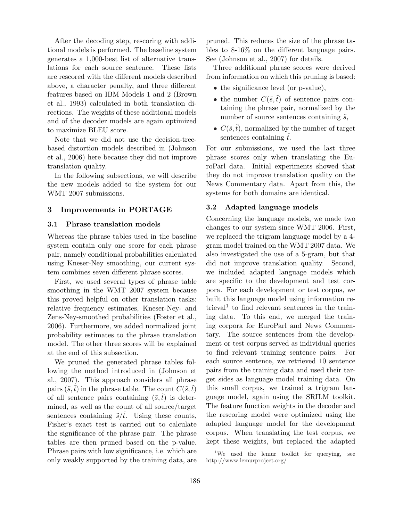After the decoding step, rescoring with additional models is performed. The baseline system generates a 1,000-best list of alternative translations for each source sentence. These lists are rescored with the different models described above, a character penalty, and three different features based on IBM Models 1 and 2 (Brown et al., 1993) calculated in both translation directions. The weights of these additional models and of the decoder models are again optimized to maximize BLEU score.

Note that we did not use the decision-treebased distortion models described in (Johnson et al., 2006) here because they did not improve translation quality.

In the following subsections, we will describe the new models added to the system for our WMT 2007 submissions.

## 3 Improvements in PORTAGE

#### 3.1 Phrase translation models

Whereas the phrase tables used in the baseline system contain only one score for each phrase pair, namely conditional probabilities calculated using Kneser-Ney smoothing, our current system combines seven different phrase scores.

First, we used several types of phrase table smoothing in the WMT 2007 system because this proved helpful on other translation tasks: relative frequency estimates, Kneser-Ney- and Zens-Ney-smoothed probabilities (Foster et al., 2006). Furthermore, we added normalized joint probability estimates to the phrase translation model. The other three scores will be explained at the end of this subsection.

We pruned the generated phrase tables following the method introduced in (Johnson et al., 2007). This approach considers all phrase pairs  $(\tilde{s},t)$  in the phrase table. The count  $C(\tilde{s},t)$ of all sentence pairs containing  $(\tilde{s}, \tilde{t})$  is determined, as well as the count of all source/target sentences containing  $\tilde{s}/\tilde{t}$ . Using these counts, Fisher's exact test is carried out to calculate the significance of the phrase pair. The phrase tables are then pruned based on the p-value. Phrase pairs with low significance, i.e. which are only weakly supported by the training data, are pruned. This reduces the size of the phrase tables to 8-16% on the different language pairs. See (Johnson et al., 2007) for details.

Three additional phrase scores were derived from information on which this pruning is based:

- the significance level (or p-value),
- the number  $C(\tilde{s},\tilde{t})$  of sentence pairs containing the phrase pair, normalized by the number of source sentences containing  $\tilde{s}$ ,
- $C(\tilde{s},\tilde{t})$ , normalized by the number of target sentences containing  $\tilde{t}$ .

For our submissions, we used the last three phrase scores only when translating the EuroParl data. Initial experiments showed that they do not improve translation quality on the News Commentary data. Apart from this, the systems for both domains are identical.

#### 3.2 Adapted language models

Concerning the language models, we made two changes to our system since WMT 2006. First, we replaced the trigram language model by a 4 gram model trained on the WMT 2007 data. We also investigated the use of a 5-gram, but that did not improve translation quality. Second, we included adapted language models which are specific to the development and test corpora. For each development or test corpus, we built this language model using information retrieval<sup>1</sup> to find relevant sentences in the training data. To this end, we merged the training corpora for EuroParl and News Commentary. The source sentences from the development or test corpus served as individual queries to find relevant training sentence pairs. For each source sentence, we retrieved 10 sentence pairs from the training data and used their target sides as language model training data. On this small corpus, we trained a trigram language model, again using the SRILM toolkit. The feature function weights in the decoder and the rescoring model were optimized using the adapted language model for the development corpus. When translating the test corpus, we kept these weights, but replaced the adapted

<sup>&</sup>lt;sup>1</sup>We used the lemur toolkit for querying, see http://www.lemurproject.org/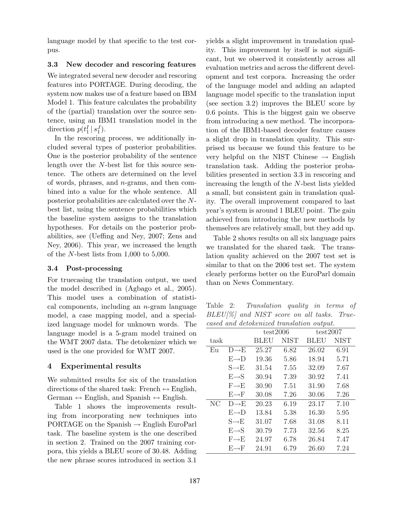language model by that specific to the test corpus.

### 3.3 New decoder and rescoring features

We integrated several new decoder and rescoring features into PORTAGE. During decoding, the system now makes use of a feature based on IBM Model 1. This feature calculates the probability of the (partial) translation over the source sentence, using an IBM1 translation model in the direction  $p(t_1^I | s_1^J)$ .

In the rescoring process, we additionally included several types of posterior probabilities. One is the posterior probability of the sentence length over the N-best list for this source sentence. The others are determined on the level of words, phrases, and  $n$ -grams, and then combined into a value for the whole sentence. All posterior probabilities are calculated over the Nbest list, using the sentence probabilities which the baseline system assigns to the translation hypotheses. For details on the posterior probabilities, see (Ueffing and Ney, 2007; Zens and Ney, 2006). This year, we increased the length of the N-best lists from 1,000 to 5,000.

#### 3.4 Post-processing

For truecasing the translation output, we used the model described in (Agbago et al., 2005). This model uses a combination of statistical components, including an  $n$ -gram language model, a case mapping model, and a specialized language model for unknown words. The language model is a 5-gram model trained on the WMT 2007 data. The detokenizer which we used is the one provided for WMT 2007.

### 4 Experimental results

We submitted results for six of the translation directions of the shared task: French  $\leftrightarrow$  English, German  $\leftrightarrow$  English, and Spanish  $\leftrightarrow$  English.

Table 1 shows the improvements resulting from incorporating new techniques into PORTAGE on the Spanish  $\rightarrow$  English EuroParl task. The baseline system is the one described in section 2. Trained on the 2007 training corpora, this yields a BLEU score of 30.48. Adding the new phrase scores introduced in section 3.1

yields a slight improvement in translation quality. This improvement by itself is not significant, but we observed it consistently across all evaluation metrics and across the different development and test corpora. Increasing the order of the language model and adding an adapted language model specific to the translation input (see section 3.2) improves the BLEU score by 0.6 points. This is the biggest gain we observe from introducing a new method. The incorporation of the IBM1-based decoder feature causes a slight drop in translation quality. This surprised us because we found this feature to be very helpful on the NIST Chinese  $\rightarrow$  English translation task. Adding the posterior probabilities presented in section 3.3 in rescoring and increasing the length of the N-best lists yielded a small, but consistent gain in translation quality. The overall improvement compared to last year's system is around 1 BLEU point. The gain achieved from introducing the new methods by themselves are relatively small, but they add up.

Table 2 shows results on all six language pairs we translated for the shared task. The translation quality achieved on the 2007 test set is similar to that on the 2006 test set. The system clearly performs better on the EuroParl domain than on News Commentary.

Table 2: Translation quality in terms of BLEU[%] and NIST score on all tasks. Truecased and detokenized translation output.

|      |                   | test2006 |             | test2007    |             |  |  |  |  |  |
|------|-------------------|----------|-------------|-------------|-------------|--|--|--|--|--|
| task |                   | BLEU     | <b>NIST</b> | <b>BLEU</b> | <b>NIST</b> |  |  |  |  |  |
| Eu   | $D\rightarrow E$  | 25.27    | 6.82        | 26.02       | 6.91        |  |  |  |  |  |
|      | $E \rightarrow D$ | 19.36    | 5.86        | 18.94       | 5.71        |  |  |  |  |  |
|      | $S\rightarrow E$  | 31.54    | 7.55        | 32.09       | 7.67        |  |  |  |  |  |
|      | $E \rightarrow S$ | 30.94    | 7.39        | 30.92       | 7.41        |  |  |  |  |  |
|      | $F \rightarrow F$ | 30.90    | 7.51        | 31.90       | 7.68        |  |  |  |  |  |
|      | $E \rightarrow F$ | 30.08    | 7.26        | 30.06       | 7.26        |  |  |  |  |  |
| NC   | $D \rightarrow F$ | 20.23    | 6.19        | 23.17       | 7.10        |  |  |  |  |  |
|      | $E \rightarrow D$ | 13.84    | 5.38        | 16.30       | 5.95        |  |  |  |  |  |
|      | $S \rightarrow E$ | 31.07    | 7.68        | 31.08       | 8.11        |  |  |  |  |  |
|      | $E \rightarrow S$ | 30.79    | 7.73        | 32.56       | 8.25        |  |  |  |  |  |
|      | $F \rightarrow F$ | 24.97    | 6.78        | 26.84       | 7.47        |  |  |  |  |  |
|      | $E \rightarrow F$ | 24.91    | 6.79        | 26.60       | 7.24        |  |  |  |  |  |
|      |                   |          |             |             |             |  |  |  |  |  |